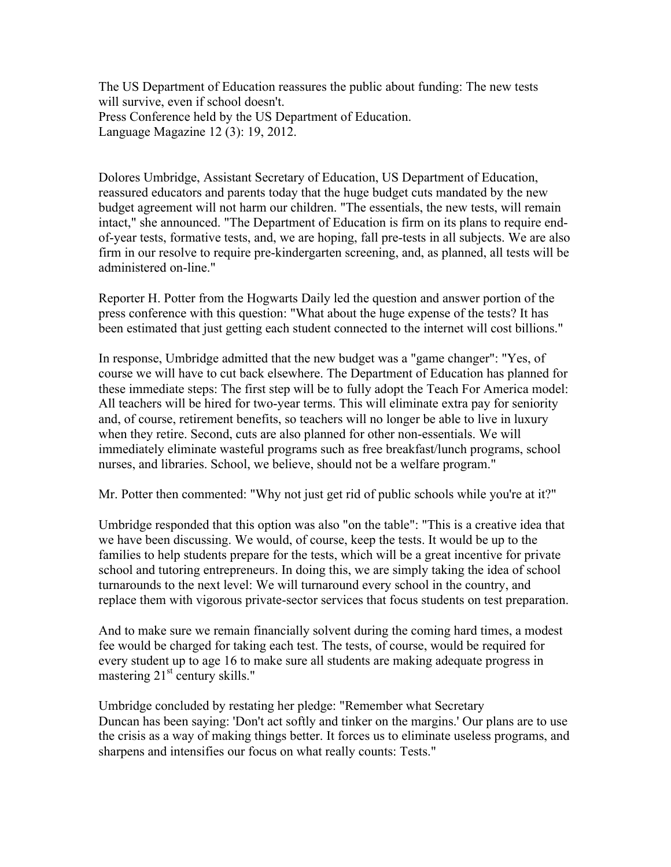The US Department of Education reassures the public about funding: The new tests will survive, even if school doesn't. Press Conference held by the US Department of Education. Language Magazine 12 (3): 19, 2012.

Dolores Umbridge, Assistant Secretary of Education, US Department of Education, reassured educators and parents today that the huge budget cuts mandated by the new budget agreement will not harm our children. "The essentials, the new tests, will remain intact," she announced. "The Department of Education is firm on its plans to require endof-year tests, formative tests, and, we are hoping, fall pre-tests in all subjects. We are also firm in our resolve to require pre-kindergarten screening, and, as planned, all tests will be administered on-line."

Reporter H. Potter from the Hogwarts Daily led the question and answer portion of the press conference with this question: "What about the huge expense of the tests? It has been estimated that just getting each student connected to the internet will cost billions."

In response, Umbridge admitted that the new budget was a "game changer": "Yes, of course we will have to cut back elsewhere. The Department of Education has planned for these immediate steps: The first step will be to fully adopt the Teach For America model: All teachers will be hired for two-year terms. This will eliminate extra pay for seniority and, of course, retirement benefits, so teachers will no longer be able to live in luxury when they retire. Second, cuts are also planned for other non-essentials. We will immediately eliminate wasteful programs such as free breakfast/lunch programs, school nurses, and libraries. School, we believe, should not be a welfare program."

Mr. Potter then commented: "Why not just get rid of public schools while you're at it?"

Umbridge responded that this option was also "on the table": "This is a creative idea that we have been discussing. We would, of course, keep the tests. It would be up to the families to help students prepare for the tests, which will be a great incentive for private school and tutoring entrepreneurs. In doing this, we are simply taking the idea of school turnarounds to the next level: We will turnaround every school in the country, and replace them with vigorous private-sector services that focus students on test preparation.

And to make sure we remain financially solvent during the coming hard times, a modest fee would be charged for taking each test. The tests, of course, would be required for every student up to age 16 to make sure all students are making adequate progress in mastering 21<sup>st</sup> century skills."

Umbridge concluded by restating her pledge: "Remember what Secretary Duncan has been saying: 'Don't act softly and tinker on the margins.' Our plans are to use the crisis as a way of making things better. It forces us to eliminate useless programs, and sharpens and intensifies our focus on what really counts: Tests."